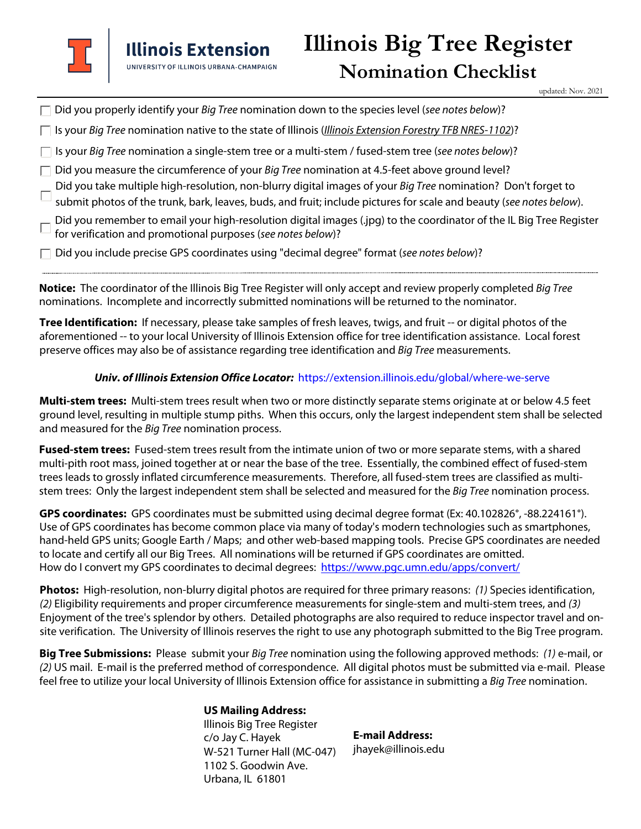

updated: Nov. 2021

| $\Box$ Did you properly identify your <i>Big Tree</i> nomination down to the species level (see notes below)? |  |  |
|---------------------------------------------------------------------------------------------------------------|--|--|
|                                                                                                               |  |  |

 $\Box$  Is your Big Tree nomination native to the state of Illinois (Illinois Extension Forestry TFB NRES-1102)?

 $\Box$  Is your Big Tree nomination a single-stem tree or a multi-stem / fused-stem tree (see notes below)?

- $\Box$  Did you measure the circumference of your Big Tree nomination at 4.5-feet above ground level?
- Did you take multiple high-resolution, non-blurry digital images of your Big Tree nomination? Don't forget to

 $\Box$  submit photos of the trunk, bark, leaves, buds, and fruit; include pictures for scale and beauty (see notes below).

Did you remember to email your high-resolution digital images (.jpg) to the coordinator of the IL Big Tree Register for verification and promotional purposes (see notes below)?

 $\Box$  Did you include precise GPS coordinates using "decimal degree" format (see notes below)?

**Notice:** The coordinator of the Illinois Big Tree Register will only accept and review properly completed Big Tree nominations. Incomplete and incorrectly submitted nominations will be returned to the nominator.

**Tree Identification:** If necessary, please take samples of fresh leaves, twigs, and fruit -- or digital photos of the aforementioned -- to your local University of Illinois Extension office for tree identification assistance. Local forest preserve offices may also be of assistance regarding tree identification and Big Tree measurements.

## **Univ. of Illinois Extension Office Locator:** https://extension.illinois.edu/global/where-we-serve

**Multi-stem trees:** Multi-stem trees result when two or more distinctly separate stems originate at or below 4.5 feet ground level, resulting in multiple stump piths. When this occurs, only the largest independent stem shall be selected and measured for the Big Tree nomination process.

**Fused-stem trees:** Fused-stem trees result from the intimate union of two or more separate stems, with a shared multi-pith root mass, joined together at or near the base of the tree. Essentially, the combined effect of fused-stem trees leads to grossly inflated circumference measurements. Therefore, all fused-stem trees are classified as multistem trees: Only the largest independent stem shall be selected and measured for the Big Tree nomination process.

**GPS coordinates:** GPS coordinates must be submitted using decimal degree format (Ex: 40.102826°, -88.224161°). Use of GPS coordinates has become common place via many of today's modern technologies such as smartphones, hand-held GPS units; Google Earth / Maps; and other web-based mapping tools. Precise GPS coordinates are needed to locate and certify all our Big Trees. All nominations will be returned if GPS coordinates are omitted. How do I convert my GPS coordinates to decimal degrees: <https://www.pgc.umn.edu/apps/convert/>

**Photos:** High-resolution, non-blurry digital photos are required for three primary reasons: (1) Species identification, (2) Eligibility requirements and proper circumference measurements for single-stem and multi-stem trees, and (3) Enjoyment of the tree's splendor by others. Detailed photographs are also required to reduce inspector travel and onsite verification. The University of Illinois reserves the right to use any photograph submitted to the Big Tree program.

**Big Tree Submissions:** Please submit your Big Tree nomination using the following approved methods: (1) e-mail, or (2) US mail. E-mail is the preferred method of correspondence. All digital photos must be submitted via e-mail. Please feel free to utilize your local University of Illinois Extension office for assistance in submitting a Big Tree nomination.

> **US Mailing Address:**  Illinois Big Tree Register c/o Jay C. Hayek W-521 Turner Hall (MC-047) 1102 S. Goodwin Ave. Urbana, IL 61801

**E-mail Address:** jhayek@illinois.edu